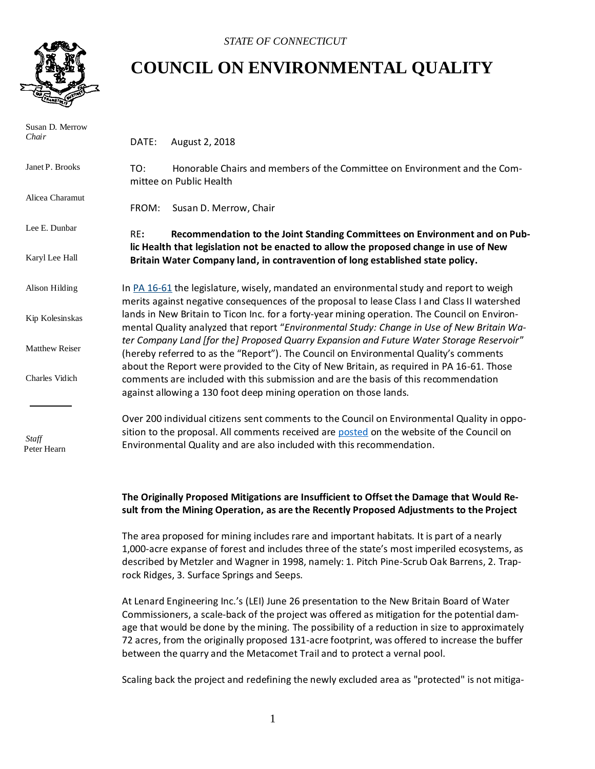

## **COUNCIL ON ENVIRONMENTAL QUALITY**

| Susan D. Merrow<br>Chair | DATE:                                                                                                                                                                                                                                                                          | August 2, 2018                                                                                                                                                      |
|--------------------------|--------------------------------------------------------------------------------------------------------------------------------------------------------------------------------------------------------------------------------------------------------------------------------|---------------------------------------------------------------------------------------------------------------------------------------------------------------------|
| Janet P. Brooks          | TO:                                                                                                                                                                                                                                                                            | Honorable Chairs and members of the Committee on Environment and the Com-<br>mittee on Public Health                                                                |
| Alicea Charamut          | FROM:                                                                                                                                                                                                                                                                          | Susan D. Merrow, Chair                                                                                                                                              |
| Lee E. Dunbar            | RE:                                                                                                                                                                                                                                                                            | Recommendation to the Joint Standing Committees on Environment and on Pub-<br>lic Health that legislation not be enacted to allow the proposed change in use of New |
| Karyl Lee Hall           |                                                                                                                                                                                                                                                                                | Britain Water Company land, in contravention of long established state policy.                                                                                      |
| Alison Hilding           | In $PA$ 16-61 the legislature, wisely, mandated an environmental study and report to weigh<br>merits against negative consequences of the proposal to lease Class I and Class II watershed                                                                                     |                                                                                                                                                                     |
| Kip Kolesinskas          | lands in New Britain to Ticon Inc. for a forty-year mining operation. The Council on Environ-<br>mental Quality analyzed that report "Environmental Study: Change in Use of New Britain Wa-                                                                                    |                                                                                                                                                                     |
| <b>Matthew Reiser</b>    | ter Company Land [for the] Proposed Quarry Expansion and Future Water Storage Reservoir"<br>(hereby referred to as the "Report"). The Council on Environmental Quality's comments<br>about the Report were provided to the City of New Britain, as required in PA 16-61. Those |                                                                                                                                                                     |
| Charles Vidich           | comments are included with this submission and are the basis of this recommendation<br>against allowing a 130 foot deep mining operation on those lands.                                                                                                                       |                                                                                                                                                                     |
|                          |                                                                                                                                                                                                                                                                                | Over 200 individual citizens sent comments to the Council on Environmental Quality in oppo-                                                                         |
| Staff<br>Peter Hearn     | sition to the proposal. All comments received are posted on the website of the Council on<br>Environmental Quality and are also included with this recommendation.                                                                                                             |                                                                                                                                                                     |

## **The Originally Proposed Mitigations are Insufficient to Offset the Damage that Would Result from the Mining Operation, as are the Recently Proposed Adjustments to the Project**

The area proposed for mining includes rare and important habitats. It is part of a nearly 1,000-acre expanse of forest and includes three of the state's most imperiled ecosystems, as described by Metzler and Wagner in 1998, namely: 1. Pitch Pine-Scrub Oak Barrens, 2. Traprock Ridges, 3. Surface Springs and Seeps.

At Lenard Engineering Inc.'s (LEI) June 26 presentation to the New Britain Board of Water Commissioners, a scale-back of the project was offered as mitigation for the potential damage that would be done by the mining. The possibility of a reduction in size to approximately 72 acres, from the originally proposed 131-acre footprint, was offered to increase the buffer between the quarry and the Metacomet Trail and to protect a vernal pool.

Scaling back the project and redefining the newly excluded area as "protected" is not mitiga-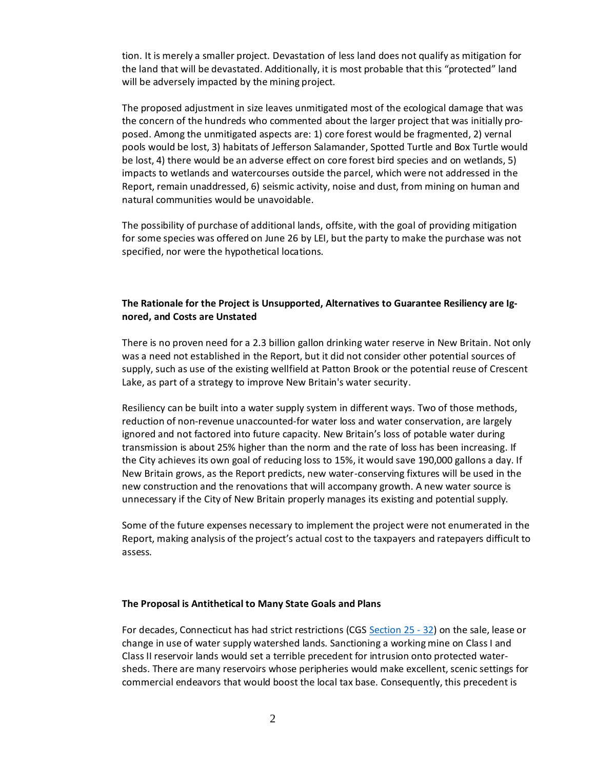tion. It is merely a smaller project. Devastation of less land does not qualify as mitigation for the land that will be devastated. Additionally, it is most probable that this "protected" land will be adversely impacted by the mining project.

The proposed adjustment in size leaves unmitigated most of the ecological damage that was the concern of the hundreds who commented about the larger project that was initially proposed. Among the unmitigated aspects are: 1) core forest would be fragmented, 2) vernal pools would be lost, 3) habitats of Jefferson Salamander, Spotted Turtle and Box Turtle would be lost, 4) there would be an adverse effect on core forest bird species and on wetlands, 5) impacts to wetlands and watercourses outside the parcel, which were not addressed in the Report, remain unaddressed, 6) seismic activity, noise and dust, from mining on human and natural communities would be unavoidable.

The possibility of purchase of additional lands, offsite, with the goal of providing mitigation for some species was offered on June 26 by LEI, but the party to make the purchase was not specified, nor were the hypothetical locations.

## **The Rationale for the Project is Unsupported, Alternatives to Guarantee Resiliency are Ignored, and Costs are Unstated**

There is no proven need for a 2.3 billion gallon drinking water reserve in New Britain. Not only was a need not established in the Report, but it did not consider other potential sources of supply, such as use of the existing wellfield at Patton Brook or the potential reuse of Crescent Lake, as part of a strategy to improve New Britain's water security.

Resiliency can be built into a water supply system in different ways. Two of those methods, reduction of non-revenue unaccounted-for water loss and water conservation, are largely ignored and not factored into future capacity. New Britain's loss of potable water during transmission is about 25% higher than the norm and the rate of loss has been increasing. If the City achieves its own goal of reducing loss to 15%, it would save 190,000 gallons a day. If New Britain grows, as the Report predicts, new water-conserving fixtures will be used in the new construction and the renovations that will accompany growth. A new water source is unnecessary if the City of New Britain properly manages its existing and potential supply.

Some of the future expenses necessary to implement the project were not enumerated in the Report, making analysis of the project's actual cost to the taxpayers and ratepayers difficult to assess.

## **The Proposal is Antithetical to Many State Goals and Plans**

For decades, Connecticut has had strict restrictions (CGS [Section 25](https://www.cga.ct.gov/current/pub/title_25.htm) - 32) on the sale, lease or change in use of water supply watershed lands. Sanctioning a working mine on Class I and Class II reservoir lands would set a terrible precedent for intrusion onto protected watersheds. There are many reservoirs whose peripheries would make excellent, scenic settings for commercial endeavors that would boost the local tax base. Consequently, this precedent is